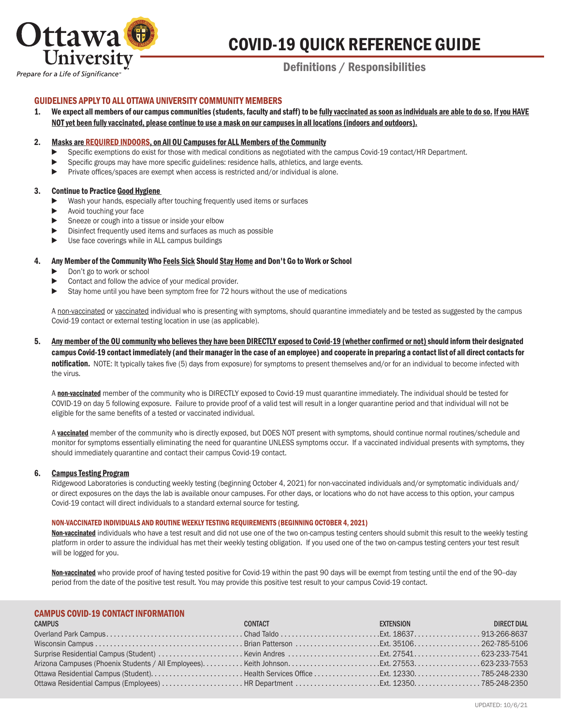

# COVID-19 QUICK REFERENCE GUIDE

# Definitions / Responsibilities

# GUIDELINES APPLY TO ALL OTTAWA UNIVERSITY COMMUNITY MEMBERS

1. We expect all members of our campus communities (students, faculty and staff) to be fully vaccinated as soon as individuals are able to do so. If you HAVE NOT yet been fully vaccinated, please continue to use a mask on our campuses in all locations (indoors and outdoors).

## 2. Masks are REQUIRED INDOORS, on All OU Campuses for ALL Members of the Community

- Specific exemptions do exist for those with medical conditions as negotiated with the campus Covid-19 contact/HR Department.
- Specific groups may have more specific guidelines: residence halls, athletics, and large events.
- ▶ Private offices/spaces are exempt when access is restricted and/or individual is alone.

# 3. Continue to Practice Good Hygiene

- Wash your hands, especially after touching frequently used items or surfaces
- ► Avoid touching your face
- ▶ Sneeze or cough into a tissue or inside your elbow
- ▶ Disinfect frequently used items and surfaces as much as possible
- ▶ Use face coverings while in ALL campus buildings

# 4. Any Member of the Community Who Feels Sick Should Stay Home and Don't Go to Work or School

- ► Don't go to work or school
- ▶ Contact and follow the advice of your medical provider.
- ▶ Stay home until you have been symptom free for 72 hours without the use of medications

A non-vaccinated or vaccinated individual who is presenting with symptoms, should quarantine immediately and be tested as suggested by the campus Covid-19 contact or external testing location in use (as applicable).

5. Any member of the OU community who believes they have been DIRECTLY exposed to Covid-19 (whether confirmed or not) should inform their designated campus Covid-19 contact immediately (and their manager in the case of an employee) and cooperate in preparing a contact list of all direct contacts for notification. NOTE: It typically takes five (5) days from exposure) for symptoms to present themselves and/or for an individual to become infected with the virus.

A non-vaccinated member of the community who is DIRECTLY exposed to Covid-19 must quarantine immediately. The individual should be tested for COVID-19 on day 5 following exposure. Failure to provide proof of a valid test will result in a longer quarantine period and that individual will not be eligible for the same benefits of a tested or vaccinated individual.

A vaccinated member of the community who is directly exposed, but DOES NOT present with symptoms, should continue normal routines/schedule and monitor for symptoms essentially eliminating the need for quarantine UNLESS symptoms occur. If a vaccinated individual presents with symptoms, they should immediately quarantine and contact their campus Covid-19 contact.

# 6. Campus Testing Program

 Ridgewood Laboratories is conducting weekly testing (beginning October 4, 2021) for non-vaccinated individuals and/or symptomatic individuals and/ or direct exposures on the days the lab is available onour campuses. For other days, or locations who do not have access to this option, your campus Covid-19 contact will direct individuals to a standard external source for testing.

# NON-VACCINATED INDIVIDUALS AND ROUTINE WEEKLY TESTING REQUIREMENTS (BEGINNING OCTOBER 4, 2021)

Non-vaccinated individuals who have a test result and did not use one of the two on-campus testing centers should submit this result to the weekly testing platform in order to assure the individual has met their weekly testing obligation. If you used one of the two on-campus testing centers your test result will be logged for you.

Non-vaccinated who provide proof of having tested positive for Covid-19 within the past 90 days will be exempt from testing until the end of the 90-day period from the date of the positive test result. You may provide this positive test result to your campus Covid-19 contact.

# CAMPUS COVID-19 CONTACT INFORMATION

| <b>CAMPUS</b> | CONTACT | <b>EXTENSION EXTENSION</b> | DIRECT DIAL |
|---------------|---------|----------------------------|-------------|
|               |         |                            |             |
|               |         |                            |             |
|               |         |                            |             |
|               |         |                            |             |
|               |         |                            |             |
|               |         |                            |             |